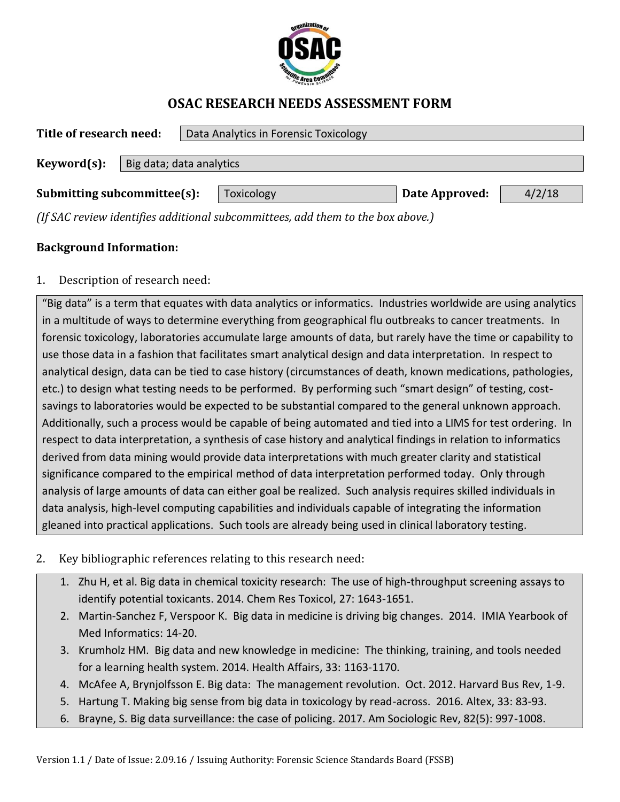

## **OSAC RESEARCH NEEDS ASSESSMENT FORM**

| Title of research need:                 |  | Data Analytics in Forensic Toxicology                                                     |                |        |  |  |  |
|-----------------------------------------|--|-------------------------------------------------------------------------------------------|----------------|--------|--|--|--|
| Keyword(s):<br>Big data; data analytics |  |                                                                                           |                |        |  |  |  |
|                                         |  |                                                                                           |                |        |  |  |  |
| Submitting subcommittee(s):             |  | Toxicology<br>$(IFCAC$ variantified additional quegonary it as add them to the househous) | Date Approved: | 4/2/18 |  |  |  |

*(If SAC review identifies additional subcommittees, add them to the box above.)*

## **Background Information:**

1. Description of research need:

"Big data" is a term that equates with data analytics or informatics. Industries worldwide are using analytics in a multitude of ways to determine everything from geographical flu outbreaks to cancer treatments. In forensic toxicology, laboratories accumulate large amounts of data, but rarely have the time or capability to use those data in a fashion that facilitates smart analytical design and data interpretation. In respect to analytical design, data can be tied to case history (circumstances of death, known medications, pathologies, etc.) to design what testing needs to be performed. By performing such "smart design" of testing, costsavings to laboratories would be expected to be substantial compared to the general unknown approach. Additionally, such a process would be capable of being automated and tied into a LIMS for test ordering. In respect to data interpretation, a synthesis of case history and analytical findings in relation to informatics derived from data mining would provide data interpretations with much greater clarity and statistical significance compared to the empirical method of data interpretation performed today. Only through analysis of large amounts of data can either goal be realized. Such analysis requires skilled individuals in data analysis, high-level computing capabilities and individuals capable of integrating the information gleaned into practical applications. Such tools are already being used in clinical laboratory testing.

- 2. Key bibliographic references relating to this research need:
	- 1. Zhu H, et al. Big data in chemical toxicity research: The use of high-throughput screening assays to identify potential toxicants. 2014. Chem Res Toxicol, 27: 1643-1651.
	- 2. Martin-Sanchez F, Verspoor K. Big data in medicine is driving big changes. 2014. IMIA Yearbook of Med Informatics: 14-20.
	- 3. Krumholz HM. Big data and new knowledge in medicine: The thinking, training, and tools needed for a learning health system. 2014. Health Affairs, 33: 1163-1170.
	- 4. McAfee A, Brynjolfsson E. Big data: The management revolution. Oct. 2012. Harvard Bus Rev, 1-9.
	- 5. Hartung T. Making big sense from big data in toxicology by read-across. 2016. Altex, 33: 83-93.
	- 6. Brayne, S. Big data surveillance: the case of policing. 2017. Am Sociologic Rev, 82(5): 997-1008.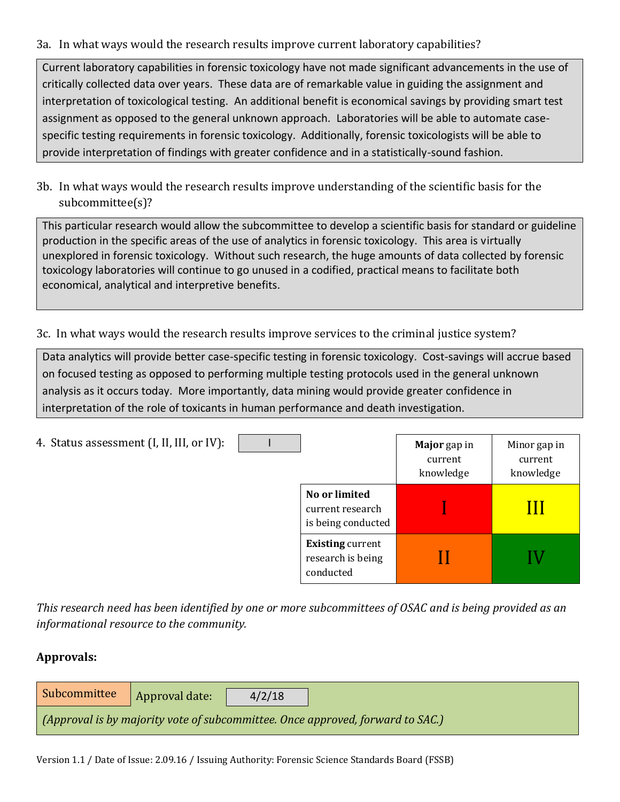## 3a. In what ways would the research results improve current laboratory capabilities?

Current laboratory capabilities in forensic toxicology have not made significant advancements in the use of critically collected data over years. These data are of remarkable value in guiding the assignment and interpretation of toxicological testing. An additional benefit is economical savings by providing smart test assignment as opposed to the general unknown approach. Laboratories will be able to automate casespecific testing requirements in forensic toxicology. Additionally, forensic toxicologists will be able to provide interpretation of findings with greater confidence and in a statistically-sound fashion.

3b. In what ways would the research results improve understanding of the scientific basis for the subcommittee(s)?

This particular research would allow the subcommittee to develop a scientific basis for standard or guideline production in the specific areas of the use of analytics in forensic toxicology. This area is virtually unexplored in forensic toxicology. Without such research, the huge amounts of data collected by forensic toxicology laboratories will continue to go unused in a codified, practical means to facilitate both economical, analytical and interpretive benefits.

3c. In what ways would the research results improve services to the criminal justice system?

Data analytics will provide better case-specific testing in forensic toxicology. Cost-savings will accrue based on focused testing as opposed to performing multiple testing protocols used in the general unknown analysis as it occurs today. More importantly, data mining would provide greater confidence in interpretation of the role of toxicants in human performance and death investigation.

| 4. Status assessment (I, II, III, or IV): |                                                           | Major gap in<br>current<br>knowledge | Minor gap in<br>current<br>knowledge |
|-------------------------------------------|-----------------------------------------------------------|--------------------------------------|--------------------------------------|
|                                           | No or limited<br>current research<br>is being conducted   |                                      |                                      |
|                                           | <b>Existing current</b><br>research is being<br>conducted |                                      |                                      |

*This research need has been identified by one or more subcommittees of OSAC and is being provided as an informational resource to the community.*

## **Approvals:**

| Subcommittee                                                                   | Approval date: | 4/2/18 |  |  |
|--------------------------------------------------------------------------------|----------------|--------|--|--|
| (Approval is by majority vote of subcommittee. Once approved, forward to SAC.) |                |        |  |  |